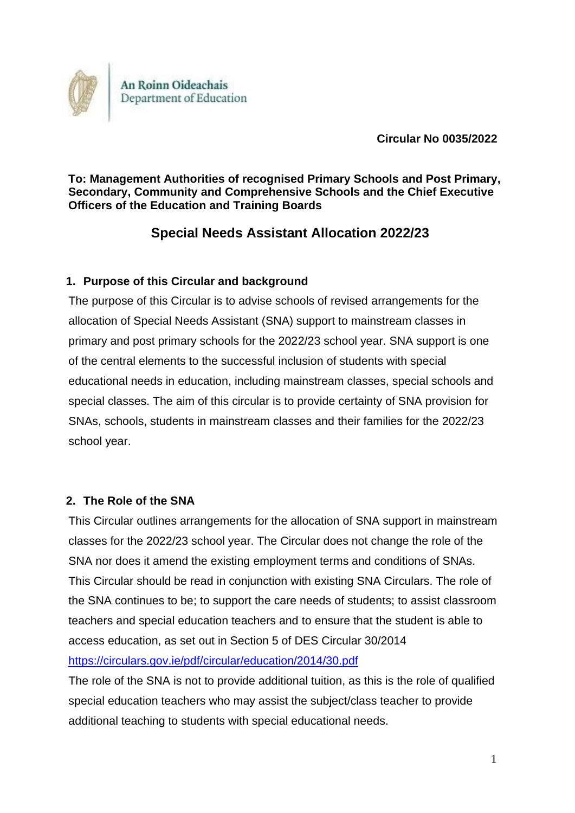

 **Circular No 0035/2022**

**To: Management Authorities of recognised Primary Schools and Post Primary, Secondary, Community and Comprehensive Schools and the Chief Executive Officers of the Education and Training Boards**

# **Special Needs Assistant Allocation 2022/23**

#### **1. Purpose of this Circular and background**

The purpose of this Circular is to advise schools of revised arrangements for the allocation of Special Needs Assistant (SNA) support to mainstream classes in primary and post primary schools for the 2022/23 school year. SNA support is one of the central elements to the successful inclusion of students with special educational needs in education, including mainstream classes, special schools and special classes. The aim of this circular is to provide certainty of SNA provision for SNAs, schools, students in mainstream classes and their families for the 2022/23 school year.

#### **2. The Role of the SNA**

This Circular outlines arrangements for the allocation of SNA support in mainstream classes for the 2022/23 school year. The Circular does not change the role of the SNA nor does it amend the existing employment terms and conditions of SNAs. This Circular should be read in conjunction with existing SNA Circulars. The role of the SNA continues to be; to support the care needs of students; to assist classroom teachers and special education teachers and to ensure that the student is able to access education, as set out in Section 5 of DES Circular 30/2014 <https://circulars.gov.ie/pdf/circular/education/2014/30.pdf>

The role of the SNA is not to provide additional tuition, as this is the role of qualified special education teachers who may assist the subject/class teacher to provide additional teaching to students with special educational needs.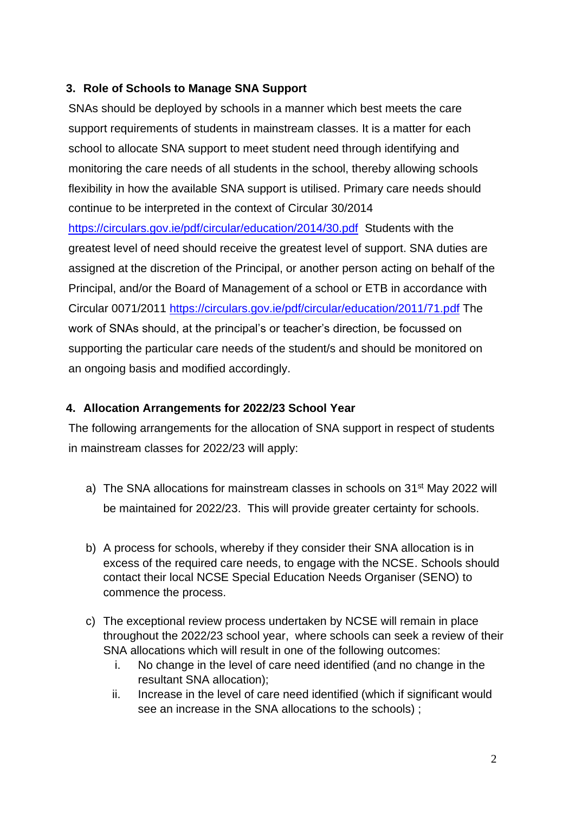## **3. Role of Schools to Manage SNA Support**

SNAs should be deployed by schools in a manner which best meets the care support requirements of students in mainstream classes. It is a matter for each school to allocate SNA support to meet student need through identifying and monitoring the care needs of all students in the school, thereby allowing schools flexibility in how the available SNA support is utilised. Primary care needs should continue to be interpreted in the context of Circular 30/2014

<https://circulars.gov.ie/pdf/circular/education/2014/30.pdf>Students with the greatest level of need should receive the greatest level of support. SNA duties are assigned at the discretion of the Principal, or another person acting on behalf of the Principal, and/or the Board of Management of a school or ETB in accordance with Circular 0071/2011 <https://circulars.gov.ie/pdf/circular/education/2011/71.pdf> The work of SNAs should, at the principal's or teacher's direction, be focussed on supporting the particular care needs of the student/s and should be monitored on an ongoing basis and modified accordingly.

#### **4. Allocation Arrangements for 2022/23 School Year**

The following arrangements for the allocation of SNA support in respect of students in mainstream classes for 2022/23 will apply:

- a) The SNA allocations for mainstream classes in schools on 31<sup>st</sup> May 2022 will be maintained for 2022/23. This will provide greater certainty for schools.
- b) A process for schools, whereby if they consider their SNA allocation is in excess of the required care needs, to engage with the NCSE. Schools should contact their local NCSE Special Education Needs Organiser (SENO) to commence the process.
- c) The exceptional review process undertaken by NCSE will remain in place throughout the 2022/23 school year, where schools can seek a review of their SNA allocations which will result in one of the following outcomes:
	- i. No change in the level of care need identified (and no change in the resultant SNA allocation);
	- ii. Increase in the level of care need identified (which if significant would see an increase in the SNA allocations to the schools) ;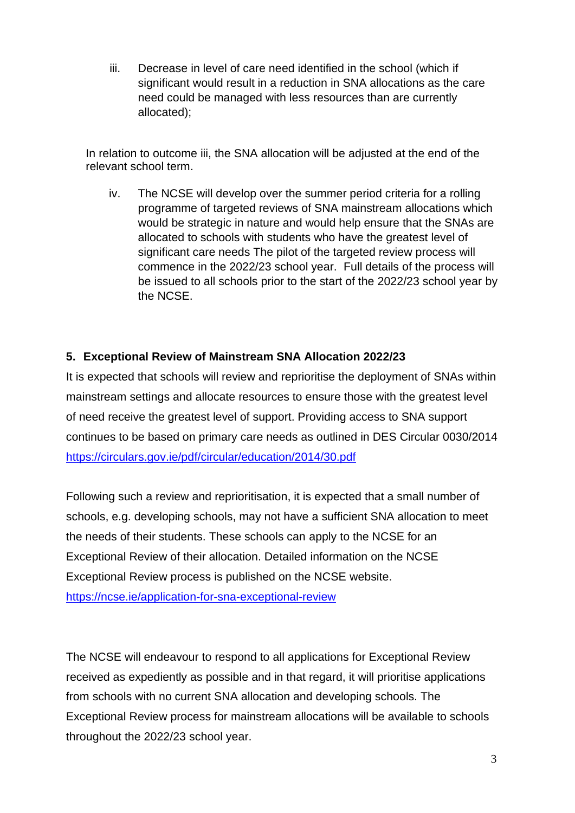iii. Decrease in level of care need identified in the school (which if significant would result in a reduction in SNA allocations as the care need could be managed with less resources than are currently allocated);

In relation to outcome iii, the SNA allocation will be adjusted at the end of the relevant school term.

iv. The NCSE will develop over the summer period criteria for a rolling programme of targeted reviews of SNA mainstream allocations which would be strategic in nature and would help ensure that the SNAs are allocated to schools with students who have the greatest level of significant care needs The pilot of the targeted review process will commence in the 2022/23 school year. Full details of the process will be issued to all schools prior to the start of the 2022/23 school year by the NCSE.

### **5. Exceptional Review of Mainstream SNA Allocation 2022/23**

It is expected that schools will review and reprioritise the deployment of SNAs within mainstream settings and allocate resources to ensure those with the greatest level of need receive the greatest level of support. Providing access to SNA support continues to be based on primary care needs as outlined in DES Circular 0030/2014 <https://circulars.gov.ie/pdf/circular/education/2014/30.pdf>

Following such a review and reprioritisation, it is expected that a small number of schools, e.g. developing schools, may not have a sufficient SNA allocation to meet the needs of their students. These schools can apply to the NCSE for an Exceptional Review of their allocation. Detailed information on the NCSE Exceptional Review process is published on the NCSE website. <https://ncse.ie/application-for-sna-exceptional-review>

The NCSE will endeavour to respond to all applications for Exceptional Review received as expediently as possible and in that regard, it will prioritise applications from schools with no current SNA allocation and developing schools. The Exceptional Review process for mainstream allocations will be available to schools throughout the 2022/23 school year.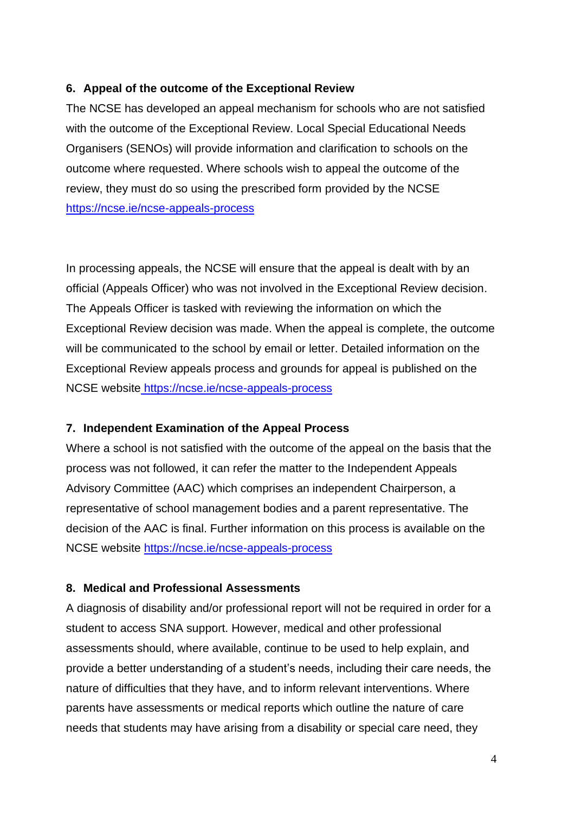#### **6. Appeal of the outcome of the Exceptional Review**

The NCSE has developed an appeal mechanism for schools who are not satisfied with the outcome of the Exceptional Review. Local Special Educational Needs Organisers (SENOs) will provide information and clarification to schools on the outcome where requested. Where schools wish to appeal the outcome of the review, they must do so using the prescribed form provided by the NCSE <https://ncse.ie/ncse-appeals-process>

In processing appeals, the NCSE will ensure that the appeal is dealt with by an official (Appeals Officer) who was not involved in the Exceptional Review decision. The Appeals Officer is tasked with reviewing the information on which the Exceptional Review decision was made. When the appeal is complete, the outcome will be communicated to the school by email or letter. Detailed information on the Exceptional Review appeals process and grounds for appeal is published on the NCSE website https://ncse.ie/ncse-appeals-process

#### **7. Independent Examination of the Appeal Process**

Where a school is not satisfied with the outcome of the appeal on the basis that the process was not followed, it can refer the matter to the Independent Appeals Advisory Committee (AAC) which comprises an independent Chairperson, a representative of school management bodies and a parent representative. The decision of the AAC is final. Further information on this process is available on the NCSE website<https://ncse.ie/ncse-appeals-process>

#### **8. Medical and Professional Assessments**

A diagnosis of disability and/or professional report will not be required in order for a student to access SNA support. However, medical and other professional assessments should, where available, continue to be used to help explain, and provide a better understanding of a student's needs, including their care needs, the nature of difficulties that they have, and to inform relevant interventions. Where parents have assessments or medical reports which outline the nature of care needs that students may have arising from a disability or special care need, they